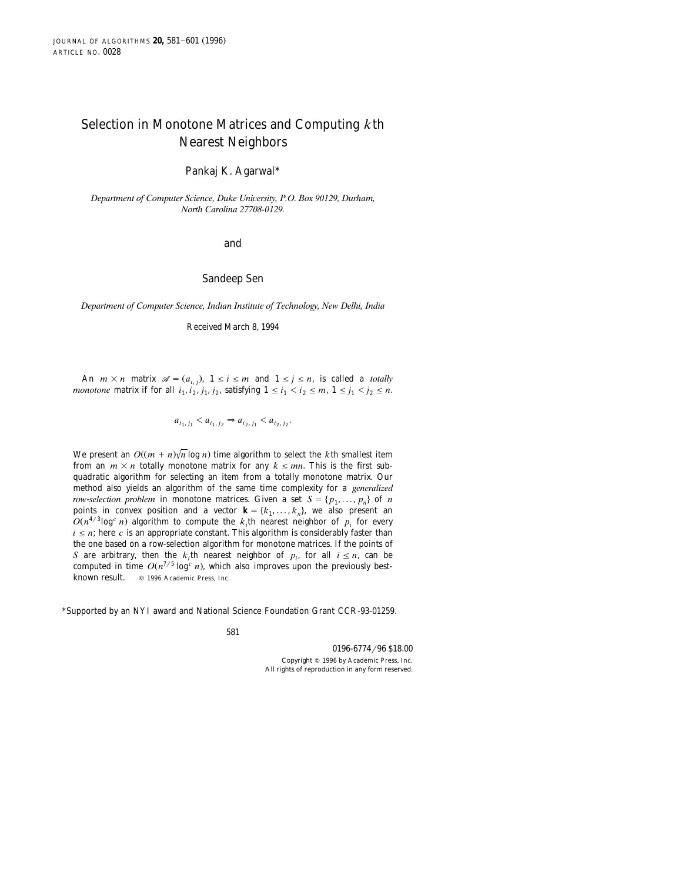# Selection in Monotone Matrices and Computing *k*th Nearest Neighbors

Pankaj K. Agarwal\*

*Department of Computer Science, Duke University, P.O. Box 90129, Durham, North Carolina 27708-0129.*

## and

#### Sandeep Sen

*Department of Computer Science, Indian Institute of Technology, New Delhi, India*

Received March 8, 1994

An  $m \times n$  matrix  $\mathcal{A} = (a_{i,j}), 1 \le i \le m$  and  $1 \le j \le n$ , is called a *totally monotone* matrix if for all  $i_1$ ,  $i_2$ ,  $j_1$ ,  $j_2$ , satisfying  $1 \le i_1 \le i_2 \le m$ ,  $1 \le j_1 \le j_2 \le n$ .

$$
a_{i_1, j_1} < a_{i_1, j_2} \Rightarrow a_{i_2, j_1} < a_{i_2, j_2}.
$$

We present an  $O((m + n)/n \log n)$  time algorithm to select the *k*th smallest item from an  $m \times n$  totally monotone matrix for any  $k \le mn$ . This is the first subquadratic algorithm for selecting an item from a totally monotone matrix. Our method also yields an algorithm of the same time complexity for a *generalized row-selection problem* in monotone matrices. Given a set  $S = \{p_1, \ldots, p_n\}$  of *n* points in convex position and a vector  $\mathbf{k} = \{k_1, \ldots, k_n\}$ , we also present an  $O(n^{4/3} \log^c n)$  algorithm to compute the  $k_i$ th nearest neighbor of  $p_i$  for every  $i \leq n$ ; here *c* is an appropriate constant. This algorithm is considerably faster than the one based on a row-selection algorithm for monotone matrices. If the points of *S* are arbitrary, then the *k*<sub>*i*</sub>th nearest neighbor of  $p_i$ , for all  $i \leq n$ , can be computed in time  $O(n^{7/5} \log^c n)$ , which also improves upon the previously bestknown result.  $\circ$  1996 Academic Press, Inc.

\*Supported by an NYI award and National Science Foundation Grant CCR-93-01259.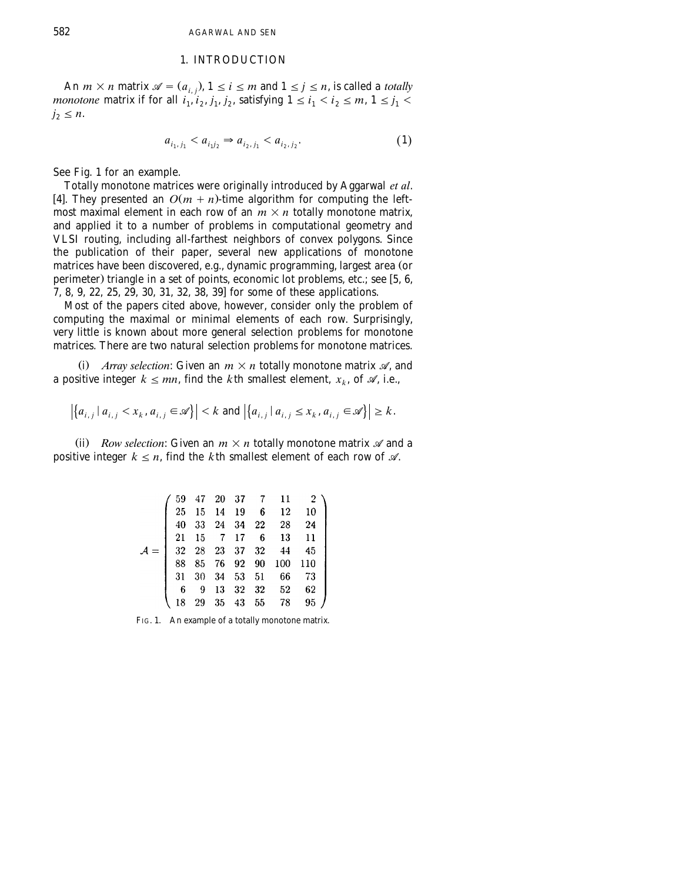## 1. INTRODUCTION

An  $m \times n$  matrix  $\mathcal{A} = (a_{i,j}), 1 \le i \le m$  and  $1 \le j \le n$ , is called a *totally monotone* matrix if for all  $i_1, i_2, j_1, j_2$ , satisfying  $1 \le i_1 \le i_2 \le m$ ,  $1 \le j_1 \le m$  $j_2 \leq n$ .

$$
a_{i_1, j_1} < a_{i_1 j_2} \Rightarrow a_{i_2, j_1} < a_{i_2, j_2}.\tag{1}
$$

See Fig. 1 for an example.

Totally monotone matrices were originally introduced by Aggarwal *et al*. [4]. They presented an  $O(m + n)$ -time algorithm for computing the leftmost maximal element in each row of an  $m \times n$  totally monotone matrix, and applied it to a number of problems in computational geometry and VLSI routing, including all-farthest neighbors of convex polygons. Since the publication of their paper, several new applications of monotone matrices have been discovered, e.g., dynamic programming, largest area (or perimeter) triangle in a set of points, economic lot problems, etc.; see [5, 6, 7, 8, 9, 22, 25, 29, 30, 31, 32, 38, 39 for some of these applications. x

Most of the papers cited above, however, consider only the problem of computing the maximal or minimal elements of each row. Surprisingly, very little is known about more general selection problems for monotone matrices. There are two natural selection problems for monotone matrices.

(i) *Array selection*: Given an  $m \times n$  totally monotone matrix  $\mathcal{A}$ , and a positive integer  $k \le mn$ , find the *k*th smallest element,  $x_k$ , of  $\mathcal{A}$ , i.e.,

$$
\left| \left\{ a_{i,j} \mid a_{i,j} < x_k, a_{i,j} \in \mathcal{A} \right\} \right| < k \text{ and } \left| \left\{ a_{i,j} \mid a_{i,j} \leq x_k, a_{i,j} \in \mathcal{A} \right\} \right| \geq k.
$$

(ii) *Row selection*: Given an  $m \times n$  totally monotone matrix  $\mathcal A$  and a positive integer  $k \leq n$ , find the *k*th smallest element of each row of  $\mathcal{A}$ .

|    |    |             | 59   47   20   37   7   11 |      |
|----|----|-------------|----------------------------|------|
|    |    |             | 25 15 14 19 6 12           | 10   |
|    |    |             | 40 33 24 34 22 28          | - 24 |
|    |    |             | 21 15 7 17 6 13            | - 11 |
|    |    |             |                            | 45   |
| 88 |    |             | 85 76 92 90 100 110        |      |
|    |    |             | 31 30 34 53 51 66          | 73   |
| 6  | -9 |             | 13 32 32 52                | 62   |
| 18 |    | 29 35 43 55 | 78                         | 95   |

FIG. 1. An example of a totally monotone matrix.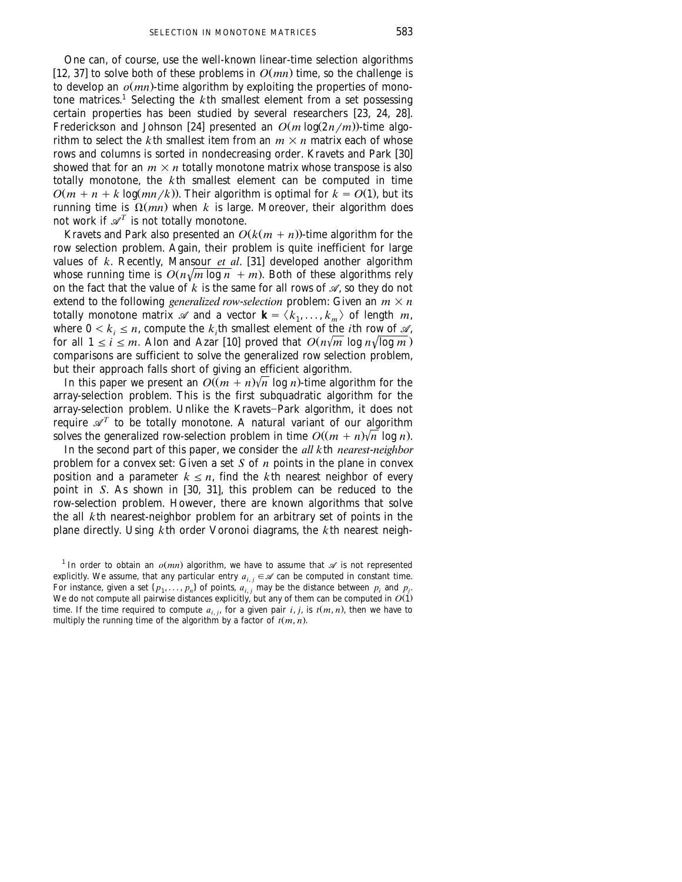One can, of course, use the well-known linear-time selection algorithms [12, 37] to solve both of these problems in  $O(mn)$  time, so the challenge is to develop an  $o(mn)$ -time algorithm by exploiting the properties of monotone matrices.<sup>1</sup> Selecting the *k*th smallest element from a set possessing certain properties has been studied by several researchers  $[23, 24, 28]$ . Frederickson and Johnson [24] presented an  $O(m \log(2n/m))$ -time algorithm to select the *k*th smallest item from an  $m \times n$  matrix each of whose rows and columns is sorted in nondecreasing order. Kravets and Park [30] showed that for an  $m \times n$  totally monotone matrix whose transpose is also totally monotone, the *k*th smallest element can be computed in time  $O(m + n + k \log(mn/k))$ . Their algorithm is optimal for  $k = O(1)$ , but its running time is  $\Omega(mn)$  when *k* is large. Moreover, their algorithm does not work if  $\mathscr{A}^T$  is not totally monotone.

Kravets and Park also presented an  $O(k(m + n))$ -time algorithm for the row selection problem. Again, their problem is quite inefficient for large values of  $k$ . Recently, Mansour  $et$   $al$ . [31] developed another algorithm whose running time is  $O(n\sqrt{m \log n} + m)$ . Both of these algorithms rely on the fact that the value of  $k$  is the same for all rows of  $\mathcal{A}$ , so they do not extend to the following *generalized row-selection* problem: Given an  $m \times n$ totally monotone matrix  $\mathscr A$  and a vector  $\mathbf k = \langle k_1, \ldots, k_m \rangle$  of length *m*, where  $0 \lt k_i \leq n$ , compute the *k*<sub>i</sub>th smallest element of the *i*th row of  $\mathcal{A}$ , for all  $1 \le i \le m$ . Alon and Azar [10] proved that  $O(n\sqrt{m} \log n \sqrt{\log m})$ comparisons are sufficient to solve the generalized row selection problem, but their approach falls short of giving an efficient algorithm.

In this paper we present an  $O((m + n)\sqrt{n} \log n)$ -time algorithm for the array-selection problem. This is the first subquadratic algorithm for the array-selection problem. Unlike the Kravets-Park algorithm, it does not require  $\mathscr{A}^T$  to be totally monotone. A natural variant of our algorithm solves the generalized row-selection problem in time  $O((m + n)\sqrt{n} \log n)$ .

In the second part of this paper, we consider the *all k*th *nearest*-*neighbor* problem for a convex set: Given a set *S* of *n* points in the plane in convex position and a parameter  $k \leq n$ , find the *k*th nearest neighbor of every point in *S*. As shown in [30, 31], this problem can be reduced to the row-selection problem. However, there are known algorithms that solve the all *k*th nearest-neighbor problem for an arbitrary set of points in the plane directly. Using *k*th order Voronoi diagrams, the *k*th nearest neigh-

<sup>&</sup>lt;sup>1</sup> In order to obtain an  $o(mn)$  algorithm, we have to assume that  $\mathscr A$  is not represented explicitly. We assume, that any particular entry  $a_{i,j} \in \mathcal{A}$  can be computed in constant time. For instance, given a set  $\{p_1, \ldots, p_n\}$  of points,  $a_{i,j}$  may be the distance between  $p_i$  and  $p_j$ . We do not compute all pairwise distances explicitly, but any of them can be computed in  $O(1)$ time. If the time required to compute  $a_{i,j}$ , for a given pair  $i, j$ , is  $t(m, n)$ , then we have to multiply the running time of the algorithm by a factor of  $t(m, n)$ .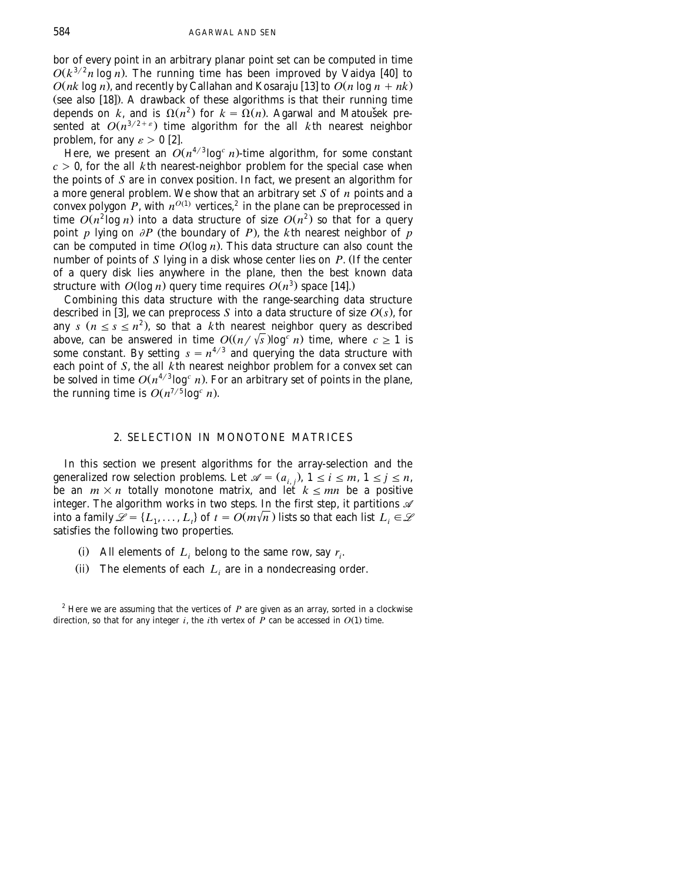bor of every point in an arbitrary planar point set can be computed in time  $O(k^{3/2}n \log n)$ . The running time has been improved by Vaidya [40] to  $O(nk \log n)$ , and recently by Callahan and Kosaraju [13] to  $O(n \log n + nk)$  $($ see also  $[18]$ ). A drawback of these algorithms is that their running time depends on *k*, and is  $\Omega(n^2)$  for  $k = \Omega(n)$ . Agarwal and Matousek presented at  $O(n^{3/2+\epsilon})$  time algorithm for the all *kth* nearest neighbor problem, for any  $\varepsilon > 0$  [2].

Here, we present an  $O(n^{4/3} \log^c n)$ -time algorithm, for some constant  $c > 0$ , for the all *k*th nearest-neighbor problem for the special case when the points of *S* are in convex position. In fact, we present an algorithm for a more general problem. We show that an arbitrary set *S* of *n* points and a convex polygon  $P$ , with  $n^{O(1)}$  vertices,<sup>2</sup> in the plane can be preprocessed in time  $O(n^2 \log n)$  into a data structure of size  $O(n^2)$  so that for a query point *p* lying on  $\partial P$  (the boundary of *P*), the *k*th nearest neighbor of *p* can be computed in time  $O(\log n)$ . This data structure can also count the number of points of  $S$  lying in a disk whose center lies on  $P$ . (If the center of a query disk lies anywhere in the plane, then the best known data structure with  $O(\log n)$  query time requires  $O(n^3)$  space [14].)

Combining this data structure with the range-searching data structure described in [3], we can preprocess S into a data structure of size  $O(s)$ , for any  $s (n \le s \le n^2)$ , so that a *k*th nearest neighbor query as described above, can be answered in time  $O((n/\sqrt{s})\log^{\frac{s}{c}} n)$  time, where  $c \geq 1$  is some constant. By setting  $s = n^{4/3}$  and querying the data structure with each point of *S*, the all *k*th nearest neighbor problem for a convex set can be solved in time  $O(n^{4/3} \log^c n)$ . For an arbitrary set of points in the plane, the running time is  $O(n^{7/5} \log^c n)$ .

# 2. SELECTION IN MONOTONE MATRICES

In this section we present algorithms for the array-selection and the generalized row selection problems. Let  $\mathcal{A} = (a_{i,j})$ ,  $1 \le i \le m$ ,  $1 \le j \le n$ , be an  $m \times n$  totally monotone matrix, and let  $k \leq mn$  be a positive integer. The algorithm works in two steps. In the first step, it partitions *A* into a family  $\mathcal{L} = \{L_1, \ldots, L_t\}$  of  $t = O(m\sqrt{n})$  lists so that each list  $L_i \in \mathcal{L}$ satisfies the following two properties.

- (i) All elements of  $L_i$  belong to the same row, say  $r_i$ .
- (ii) The elements of each  $L_i$  are in a nondecreasing order.

 $2$ <sup>2</sup> Here we are assuming that the vertices of  $P$  are given as an array, sorted in a clockwise direction, so that for any integer  $i$ , the  $i$ th vertex of  $\overline{P}$  can be accessed in  $O(1)$  time.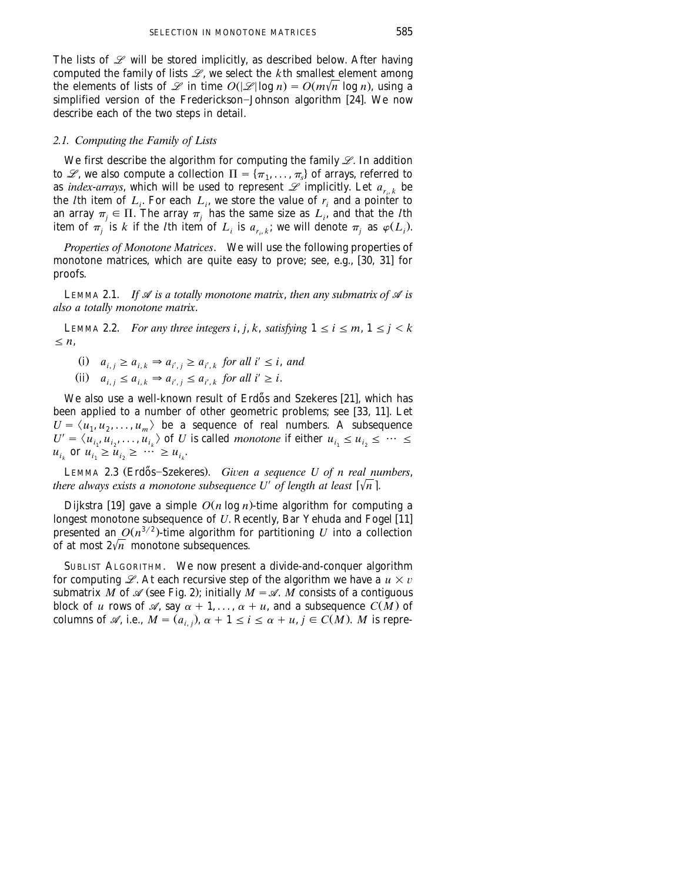The lists of  $\mathscr L$  will be stored implicitly, as described below. After having computed the family of lists  $\mathcal{L}$ , we select the  $k$ th smallest element among the elements of lists of  $\mathscr L$  in time  $O(|\mathscr L|\log n) = O(m\sqrt{n} \log n)$ , using a simplified version of the Frederickson-Johnson algorithm [24]. We now describe each of the two steps in detail.

# *2.1. Computing the Family of Lists*

We first describe the algorithm for computing the family *L*. In addition to *L*, we also compute a collection  $\Pi = {\pi_1, \dots, \pi_r}$  of arrays, referred to as *index-arrays*, which will be used to represent  $\mathscr L$  implicitly. Let  $a_{r_i,k}$  be the *l*th item of  $L_i$ . For each  $L_i$ , we store the value of  $r_i$  and a pointer to an array  $\pi_j \in \Pi$ . The array  $\pi_j$  has the same size as  $L_i$ , and that the *l*th item of  $\pi_i$  is *k* if the *l*th item of  $L_i$  is  $a_{r_i,k}$ ; we will denote  $\pi_i$  as  $\varphi(L_i)$ .

*Properties of Monotone Matrices*. We will use the following properties of monotone matrices, which are quite easy to prove; see, e.g., [30, 31] for proofs.

LEMMA 2.1. *If*  $\mathcal A$  *is a totally monotone matrix, then any submatrix of*  $\mathcal A$  *is also a totally monotone matrix*.

LEMMA 2.2. *For any three integers i, j, k, satisfying*  $1 \le i \le m$ ,  $1 \le j \le k$  $\leq n$ ,

 $a_{i,j} \geq a_{i,k} \Rightarrow a_{i',j} \geq a_{i',k}$  for all  $i' \leq i$ , and  $(ii)$   $a_{i,j} \leq a_{i,k} \Rightarrow a_{i',j} \leq a_{i',k}$  *for all i'*  $\geq i$ .

We also use a well-known result of Erdős and Szekeres [21], which has been applied to a number of other geometric problems; see [33, 11]. Let  $U = \langle u_1, u_2, ..., u_m \rangle$  be a sequence of real numbers. A subsequence  $U' = \langle u_{i_1}, u_{i_2}, ..., u_{i_k} \rangle$  of U is called *monotone* if either  $u_{i_1} \le u_{i_2} \le \cdots \le u_{i_k}$  $u_{i_k}$  or  $u_{i_1} \ge u_{i_2} \ge \cdots \ge u_{i_k}$ .

LEMMA 2.3 (Erdős-Szekeres). *Given a sequence U of n real numbers*, *there always exists a monotone subsequence U' of length at least*  $\lceil \sqrt{n} \rceil$ .

Dijkstra [19] gave a simple  $O(n \log n)$ -time algorithm for computing a longest monotone subsequence of *U*. Recently, Bar Yehuda and Fogel [11] presented an  $O(n^{3/2})$ -time algorithm for partitioning *U* into a collection of at most  $2\sqrt{n}$  monotone subsequences.

SUBLIST ALGORITHM. We now present a divide-and-conquer algorithm for computing  $\mathcal{L}$ . At each recursive step of the algorithm we have a  $u \times v$ submatrix *M* of  $\mathcal{A}$  (see Fig. 2); initially  $M = \mathcal{A}$ . *M* consists of a contiguous block of *u* rows of  $\mathscr A$ , say  $\alpha + 1, \ldots, \alpha + u$ , and a subsequence  $C(M)$  of columns of  $\mathcal{A}$ , i.e.,  $M = (a_{i,j})$ ,  $\alpha + 1 \le i \le \alpha + u, j \in C(M)$ . *M* is repre-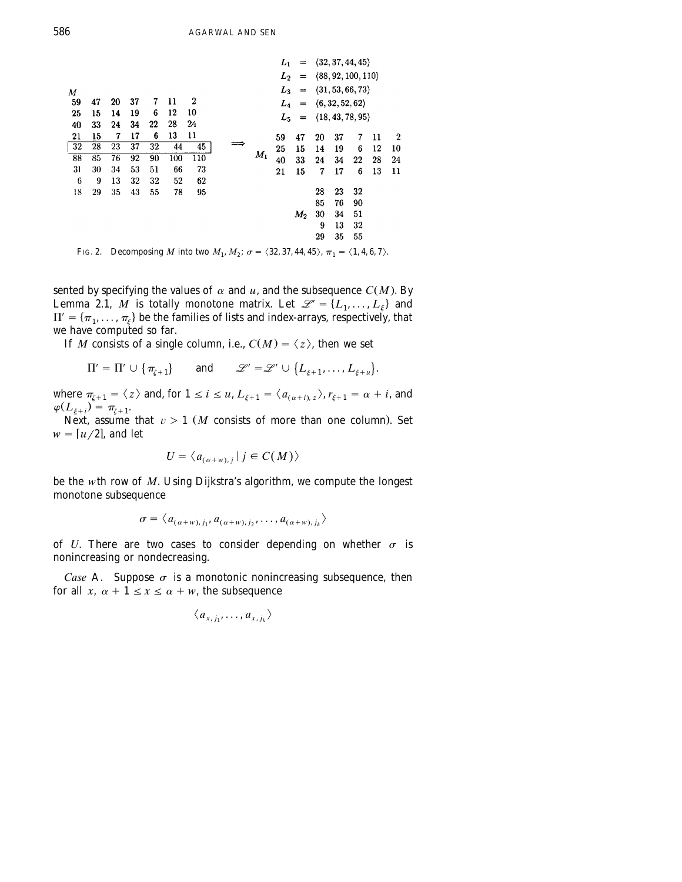|    |    |    |    |    |     |                  |   |                                                                     | L,                               | $\equiv$ | (32, 37, 44, 45)<br>(88, 92, 100, 110) |    |    |    |                  |
|----|----|----|----|----|-----|------------------|---|---------------------------------------------------------------------|----------------------------------|----------|----------------------------------------|----|----|----|------------------|
|    |    |    |    |    |     |                  |   |                                                                     | $L_2$                            | $=$      |                                        |    |    |    |                  |
| М  |    |    |    |    |     |                  |   | (31, 53, 66, 73)<br>$L_3$<br>$=$<br>(6, 32, 52, 62)<br>$L_4$<br>$=$ |                                  |          |                                        |    |    |    |                  |
| 59 | 47 | 20 | 37 | 7  | 11  | $\boldsymbol{2}$ |   |                                                                     |                                  |          |                                        |    |    |    |                  |
| 25 | 15 | 14 | 19 | 6  | 12  | 10               |   |                                                                     | (18, 43, 78, 95)<br>$L_5$<br>$=$ |          |                                        |    |    |    |                  |
| 40 | 33 | 24 | 34 | 22 | 28  | 24               |   |                                                                     |                                  |          |                                        |    |    |    |                  |
| 21 | 15 | 7  | 17 | 6  | 13  | 11               |   |                                                                     | 59                               | 47       | 20                                     | 37 | 7  | 11 | $\boldsymbol{2}$ |
| 32 | 28 | 23 | 37 | 32 | 44  | 45               | ⇒ |                                                                     | 25                               | 15       | 14                                     | 19 | 6  | 12 | 10               |
| 88 | 85 | 76 | 92 | 90 | 100 | 110              |   | $M_1$                                                               | 40                               | 33       | 24                                     | 34 | 22 | 28 | 24               |
| 31 | 30 | 34 | 53 | 51 | 66  | 73               |   |                                                                     | 21                               | 15       | 7                                      | 17 | 6  | 13 | 11               |
| 6  | 9  | 13 | 32 | 32 | 52  | 62               |   |                                                                     |                                  |          |                                        |    |    |    |                  |
| 18 | 29 | 35 | 43 | 55 | 78  | 95               |   |                                                                     |                                  |          | 28                                     | 23 | 32 |    |                  |
|    |    |    |    |    |     |                  |   |                                                                     |                                  |          | 85                                     | 76 | 90 |    |                  |
|    |    |    |    |    |     |                  |   |                                                                     |                                  | $M_2$    | 30                                     | 34 | 51 |    |                  |
|    |    |    |    |    |     |                  |   |                                                                     |                                  |          | 9                                      | 13 | 32 |    |                  |
|    |    |    |    |    |     |                  |   |                                                                     |                                  |          | 29                                     | 35 | 55 |    |                  |
|    |    |    |    |    |     |                  |   |                                                                     |                                  |          |                                        |    |    |    |                  |

FIG. 2. Decomposing *M* into two  $M_1, M_2$ ;  $\sigma = \langle 32, 37, 44, 45 \rangle$ ,  $\pi_1 = \langle 1, 4, 6, 7 \rangle$ .

sented by specifying the values of  $\alpha$  and  $u$ , and the subsequence  $C(M)$ . By Lemma 2.1,  $M$  is totally monotone matrix. Let  $\mathcal{L} = \{L_1, ..., L_{\xi}\}\$  and  $\Pi' = \{\pi_1, ..., \pi_{\xi}\}\$  be the families of lists and index-arrays, resp we have computed so far.

If *M* consists of a single column, i.e.,  $C(M) = \langle z \rangle$ , then we set

$$
\Pi' = \Pi' \cup \{\pi_{\zeta+1}\} \quad \text{and} \quad \mathscr{L}' = \mathscr{L}' \cup \{L_{\zeta+1},\ldots,L_{\zeta+u}\}.
$$

where  $\pi_{\zeta+1} = \langle z \rangle$  and, for  $1 \le i \le u$ ,  $L_{\zeta+1} = \langle a_{(\alpha+i), z} \rangle$ ,  $r_{\zeta+1} = \alpha + i$ , and  $\varphi(L_{\varepsilon+i}) = \pi_{\zeta+1}.$ 

Next, assume that  $v > 1$  (*M* consists of more than one column). Set  $w = [u/2]$ , and let

$$
U = \langle a_{(\alpha+w),j} | j \in C(M) \rangle
$$

be the *w*th row of *M*. Using Dijkstra's algorithm, we compute the longest monotone subsequence

$$
\sigma = \langle a_{(\alpha+w),j_1}, a_{(\alpha+w),j_2}, \ldots, a_{(\alpha+w),j_k} \rangle
$$

of *U*. There are two cases to consider depending on whether  $\sigma$  is nonincreasing or nondecreasing.

*Case* A. Suppose  $\sigma$  is a monotonic nonincreasing subsequence, then for all *x*,  $\alpha + 1 \le x \le \alpha + w$ , the subsequence

$$
\langle a_{x, j_1}, \ldots, a_{x, j_k} \rangle
$$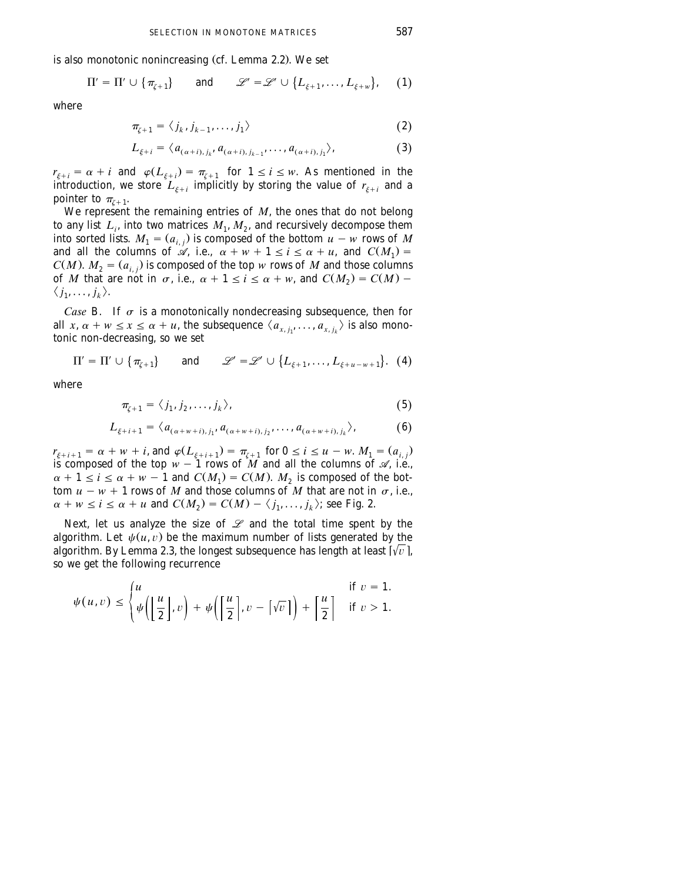is also monotonic nonincreasing (cf. Lemma 2.2). We set

$$
\Pi' = \Pi' \cup \{\pi_{\zeta+1}\} \quad \text{and} \quad \mathscr{L}' = \mathscr{L}' \cup \{L_{\zeta+1}, \ldots, L_{\zeta+w}\}, \quad (1)
$$

where

$$
\pi_{\zeta+1} = \langle j_k, j_{k-1}, \dots, j_1 \rangle \tag{2}
$$

$$
L_{\xi+i} = \langle a_{(\alpha+i),j_k}, a_{(\alpha+i),j_{k-1}}, \dots, a_{(\alpha+i),j_1} \rangle, \tag{3}
$$

 $r_{\xi+i} = \alpha + i$  and  $\varphi(L_{\xi+i}) = \pi_{\zeta+1}$  for  $1 \leq i \leq w$ . As mentioned in the introduction, we store  $L_{\xi+i}$  implicitly by storing the value of  $r_{\xi+i}$  and a pointer to  $\pi_{r+1}$ .

We represent the remaining entries of *M*, the ones that do not belong to any list  $L_i$ , into two matrices  $M_1, M_2$ , and recursively decompose them into sorted lists.  $M_1 = (a_{i,j})$  is composed of the bottom  $u - w$  rows of M and all the columns of  $\mathcal{A}$ , i.e.,  $\alpha + w + 1 \le i \le \alpha + u$ , and  $C(M_1) =$  $C(M)$ .  $M_2 = (a_{i,j})$  is composed of the top *w* rows of *M* and those columns of *M* that are not in  $\sigma$ , i.e.,  $\alpha + 1 \le i \le \alpha + w$ , and  $C(M_2) = C(M)$ .  $\langle j_1, \ldots, j_k \rangle$ .

*Case* B. If  $\sigma$  is a monotonically nondecreasing subsequence, then for all *x*,  $\alpha + w \le x \le \alpha + u$ , the subsequence  $\langle a_{x, i_1}, \ldots, a_{x, i_k} \rangle$  is also monotonic non-decreasing, so we set

$$
\Pi' = \Pi' \cup \{\pi_{\zeta+1}\} \quad \text{and} \quad \mathscr{L}' = \mathscr{L}' \cup \{L_{\zeta+1},\ldots,L_{\zeta+u-w+1}\}.
$$
 (4)

where

$$
\pi_{\zeta+1} = \langle j_1, j_2, \dots, j_k \rangle, \tag{5}
$$

$$
L_{\xi+i+1} = \langle a_{(\alpha+w+i),j_1}, a_{(\alpha+w+i),j_2}, \dots, a_{(\alpha+w+i),j_k} \rangle, \tag{6}
$$

 $r_{\xi+i+1} = \alpha + w + i$ , and  $\varphi(L_{\xi+i+1}) = \pi_{\xi+1}$  for  $0 \le i \le u - w$ .  $M_1 = (a_{i,j})$ is composed of the top  $w - 1$  rows of *M* and all the columns of  $\mathcal{A}$ , i.e.,  $\alpha + 1 \le i \le \alpha + w - 1$  and  $C(M_1) = C(M)$ .  $M_2$  is composed of the bottom  $u - w + 1$  rows of *M* and those columns of *M* that are not in  $\sigma$ , i.e.,  $\alpha + w \le i \le \alpha + u$  and  $C(M_2) = C(M) - \langle j_1, \ldots, j_k \rangle$ ; see Fig. 2.

Next, let us analyze the size of  $\mathcal L$  and the total time spent by the algorithm. Let  $\psi(u, v)$  be the maximum number of lists generated by the algorithm. By Lemma 2.3, the longest subsequence has length at least  $\lceil \sqrt{v} \rceil$ , so we get the following recurrence

$$
\psi(u,v) \le \begin{cases} u & \text{if } v = 1. \\ \psi\left(\left\lfloor \frac{u}{2} \right\rfloor, v\right) + \psi\left(\left\lceil \frac{u}{2} \right\rceil, v - \left\lceil \sqrt{v} \right\rceil\right) + \left\lceil \frac{u}{2} \right\rceil & \text{if } v > 1. \end{cases}
$$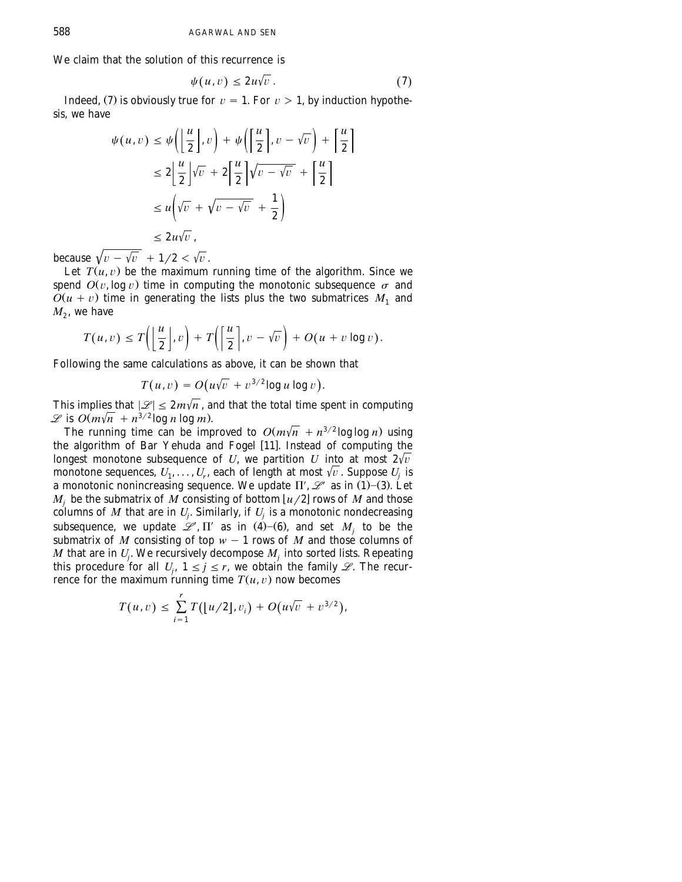We claim that the solution of this recurrence is

$$
\psi(u,v) \le 2u\sqrt{v} \,.
$$
\n<sup>(7)</sup>

Indeed, (7) is obviously true for  $v = 1$ . For  $v > 1$ , by induction hypothesis, we have

$$
\psi(u, v) \leq \psi\left(\left\lfloor \frac{u}{2} \right\rfloor, v\right) + \psi\left(\left\lceil \frac{u}{2} \right\rceil, v - \sqrt{v}\right) + \left\lceil \frac{u}{2} \right\rceil
$$
  

$$
\leq 2\left\lfloor \frac{u}{2} \right\rfloor\sqrt{v} + 2\left\lceil \frac{u}{2} \right\rceil\sqrt{v - \sqrt{v}} + \left\lceil \frac{u}{2} \right\rceil
$$
  

$$
\leq u\left(\sqrt{v} + \sqrt{v - \sqrt{v}} + \frac{1}{2}\right)
$$
  

$$
\leq 2u\sqrt{v},
$$

because  $\sqrt{v} - \sqrt{v} + 1/2 < \sqrt{v}$ .

Let  $T(u, v)$  be the maximum running time of the algorithm. Since we spend  $O(v, \log v)$  time in computing the monotonic subsequence  $\sigma$  and  $O(u + v)$  time in generating the lists plus the two submatrices  $M_1$  and  $M_2$ , we have

$$
T(u,v) \leq T\left(\left\lfloor \frac{u}{2} \right\rfloor, v\right) + T\left(\left\lceil \frac{u}{2} \right\rceil, v - \sqrt{v}\right) + O(u + v \log v).
$$

Following the same calculations as above, it can be shown that

$$
T(u,v) = O(u\sqrt{v} + v^{3/2}\log u \log v).
$$

This implies that  $|\mathcal{L}| \leq 2m\sqrt{n}$ , and that the total time spent in computing  $\mathscr{L}$  is  $O(m\sqrt{n} + n^{3/2} \log n \log m)$ .

The running time can be improved to  $O(m\sqrt{n} + n^{3/2} \log \log n)$  using the algorithm of Bar Yehuda and Fogel [11]. Instead of computing the longest monotone subsequence of *U*, we partition *U* into at most  $2\sqrt{v}$ monotone sequences,  $U_1, \ldots, U_r$ , each of length at most  $\sqrt{v}$ . Suppose  $U_j$  is a monotonic nonincreasing sequence. We update  $\Pi'$ ,  $\mathcal{L}'$  as in (1)–(3). Let  $M_j$  be the submatrix of *M* consisting of bottom  $\lfloor u/2 \rfloor$  rows of *M* and those columns of *M* that are in  $U_i$ . Similarly, if  $U_j$  is a monotonic nondecreasing subsequence, we update  $\mathcal{L}$ ,  $\Pi'$  as in  $(4)$ – $(6)$ , and set *M*<sub>i</sub> to be the submatrix of *M* consisting of top  $w - 1$  rows of *M* and those columns of *M* that are in  $U_i$ . We recursively decompose  $M_i$  into sorted lists. Repeating this procedure for all  $U_i$ ,  $1 \le j \le r$ , we obtain the family *L*. The recurrence for the maximum running time  $T(u, v)$  now becomes

$$
T(u,v) \leq \sum_{i=1}^r T([u/2],v_i) + O(u\sqrt{v} + v^{3/2}),
$$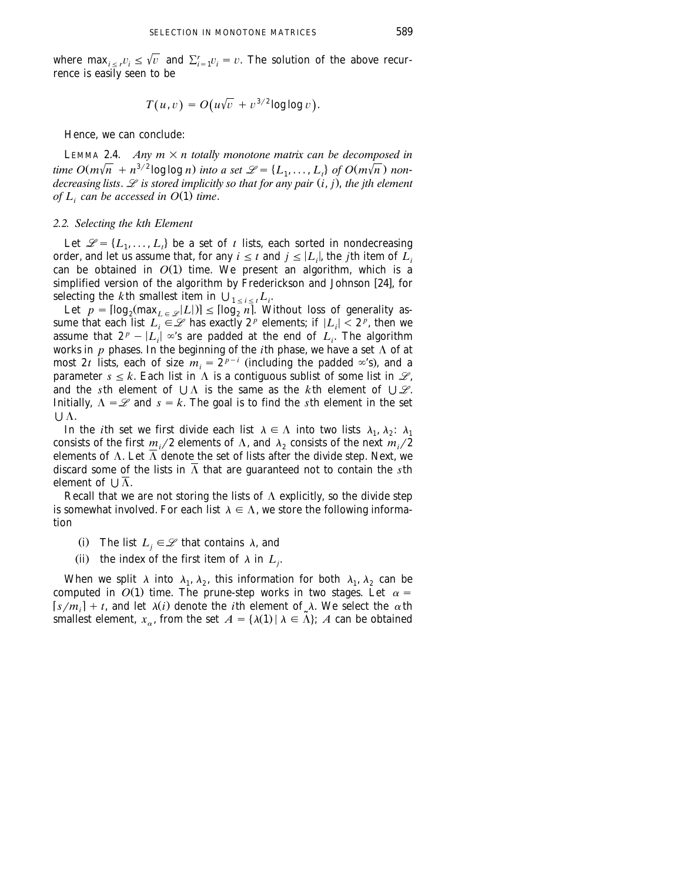where  $\max_{i \leq r} v_i \leq \sqrt{v}$  and  $\sum_{i=1}^r v_i = v$ . The solution of the above recurrence is easily seen to be

$$
T(u,v) = O(u\sqrt{v} + v^{3/2}\log\log v).
$$

Hence, we can conclude:

LEMMA 2.4. *Any*  $m \times n$  totally monotone matrix can be decomposed in  $time\ O(m\sqrt{n} + n^{3/2}\log\log n)$  into a set  $\mathcal{L} = \{L_1, \ldots, L_n\}$  of  $O(m\sqrt{n})$  non*decreasing lists.*  $\mathscr L$  *is stored implicitly so that for any pair*  $(i, j)$ *, the jth element of*  $L_i$  can be accessed in  $O(1)$  time.

#### *2.2. Selecting the kth Element*

Let  $\mathcal{L} = \{L_1, \ldots, L_t\}$  be a set of *t* lists, each sorted in nondecreasing order, and let us assume that, for any  $i \leq t$  and  $j \leq |L_i|$ , the *j*th item of  $L_i$ can be obtained in  $O(1)$  time. We present an algorithm, which is a simplified version of the algorithm by Frederickson and Johnson [24], for

selecting the *k*th smallest item in  $\bigcup_{1 \le i \le t} L_i$ .<br>Let  $p = \left[\log_2(\max_{L \in \mathcal{L}} |L|)\right] \le \left[\log_2 n\right]$ . Without loss of generality assume that each list  $L_i \in \mathcal{L}$  has exactly  $2^p$  elements; if  $|L_i| < 2^p$ , then we assume that  $2^p - |L_i| \infty$ 's are padded at the end of  $L_i$ . The algorithm works in  $p$  phases. In the beginning of the *i*th phase, we have a set  $\Lambda$  of at *p*y<sub>i</sub> most 2*t* lists, each of size  $m_i = 2^{p-i}$  (including the padded  $\infty$ 's), and a parameter  $s \leq k$ . Each list in  $\Lambda$  is a contiguous sublist of some list in  $\mathcal{L}$ , and the *s*th element of  $\bigcup \Lambda$  is the same as the *k*th element of  $\bigcup \mathcal{L}$ . Initially,  $\Lambda = \mathcal{L}$  and  $s = k$ . The goal is to find the *s*th element in the set U A.

In the *i*th set we first divide each list  $\lambda \in \Lambda$  into two lists  $\lambda_1, \lambda_2$ :  $\lambda_1$ consists of the first  $m_i/2$  elements of  $\Lambda$ , and  $\lambda_2$  consists of the next  $m_i/2$ elements of  $\Lambda$ . Let  $\overline{\Lambda}$  denote the set of lists after the divide step. Next, we discard some of the lists in  $\overline{\Lambda}$  that are guaranteed not to contain the *s*th element of  $\cup \overline{\Lambda}$ .

Recall that we are not storing the lists of  $\Lambda$  explicitly, so the divide step is somewhat involved. For each list  $\lambda \in \Lambda$ , we store the following information

(i) The list  $L_i \in \mathcal{L}$  that contains  $\lambda$ , and

(ii) the index of the first item of  $\lambda$  in  $L_j$ .

When we split  $\lambda$  into  $\lambda_1$ ,  $\lambda_2$ , this information for both  $\lambda_1$ ,  $\lambda_2$  can be computed in  $O(1)$  time. The prune-step works in two stages. Let  $\alpha =$  $[s/m_i] + t$ , and let  $\lambda(i)$  denote the *i*th element of  $\lambda$ . We select the  $\alpha$ th smallest element,  $x_{\alpha}$ , from the set  $A = {\lambda(1) | \lambda \in \tilde{\Lambda}}$ ; *A* can be obtained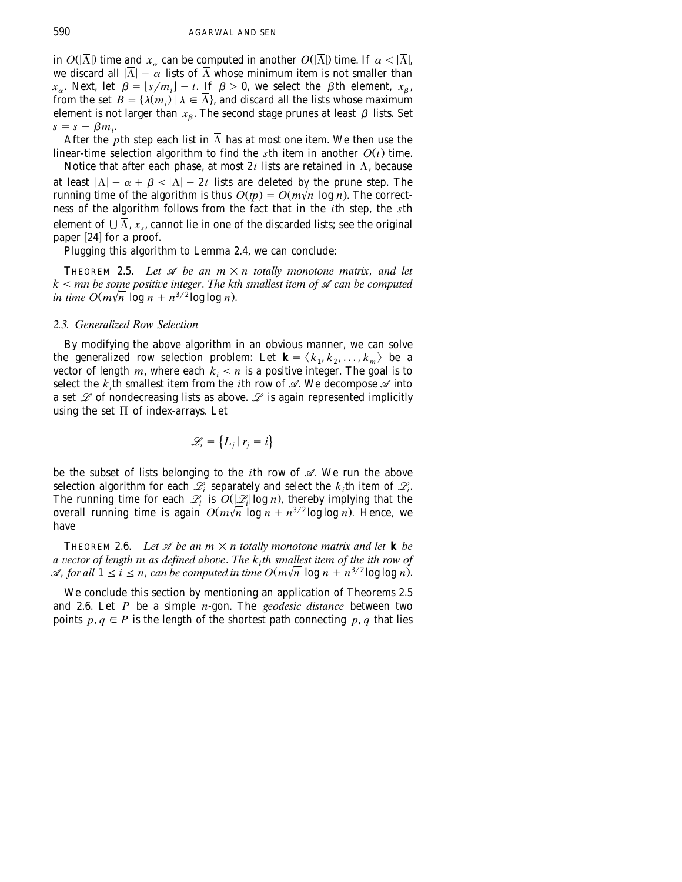in  $O(|\overline{\Lambda}|)$  time and  $x_{\alpha}$  can be computed in another  $O(|\overline{\Lambda}|)$  time. If  $\alpha < |\overline{\Lambda}|$ , we discard all  $|\overline{\Lambda}| - \alpha$  lists of  $\overline{\Lambda}$  whose minimum item is not smaller than  $x_{\alpha}$ . Next, let  $\beta = \lfloor s/m_i \rfloor - t$ . If  $\beta > 0$ , we select the  $\beta$ th element,  $x_{\beta}$ , from the set  $B = {\lambda(m_i)} |\lambda \in \overline{\Lambda}$ , and discard all the lists whose maximum element is not larger than  $x_{\beta}$ . The second stage prunes at least  $\beta$  lists. Set  $s = s - \beta m_i$ .

After the *p*th step each list in  $\overline{\Lambda}$  has at most one item. We then use the linear-time selection algorithm to find the *s*th item in another  $O(t)$  time.

Notice that after each phase, at most 2t lists are retained in  $\overline{\Lambda}$ , because at least  $|\overline{\Lambda}| - \alpha + \beta \leq |\overline{\Lambda}| - 2t$  lists are deleted by the prune step. The running time of the algorithm is thus  $O(tp) = O(m\sqrt{n} \log n)$ . The correctness of the algorithm follows from the fact that in the *i*th step, the *s*th element of  $\cup \overline{\Lambda}$ ,  $x_s$ , cannot lie in one of the discarded lists; see the original paper [24] for a proof.

Plugging this algorithm to Lemma 2.4, we can conclude:

**THEOREM 2.5.** Let  $\mathcal A$  be an  $m \times n$  totally monotone matrix, and let  $k \leq m$ n be some positive integer. The kth smallest item of  $\mathcal A$  can be computed  $\int$ *in time O* $(m\sqrt{n} \log n + n^{3/2} \log \log n)$ .

# *2.3. Generalized Row Selection*

By modifying the above algorithm in an obvious manner, we can solve the generalized row selection problem: Let  $\mathbf{k} = \langle k_1, k_2, \ldots, k_m \rangle$  be a vector of length *m*, where each  $k_i \leq n$  is a positive integer. The goal is to select the  $k_i$ <sup>th</sup> smallest item from the *i*th row of  $\mathscr A$ . We decompose  $\mathscr A$  into a set *L* of nondecreasing lists as above. *L* is again represented implicitly using the set  $\Pi$  of index-arrays. Let

$$
\mathcal{L}_i = \left\{ L_j \,|\, r_j = i \right\}
$$

be the subset of lists belonging to the *i*th row of *A*. We run the above selection algorithm for each  $\mathcal{L}_i$  separately and select the  $k_i$ th item of  $\mathcal{L}_i$ . The running time for each  $\mathscr{L}_i$  is  $O(|\mathscr{L}_i| \log n)$ , thereby implying that the overall running time is again  $O(m\sqrt{n} \log n + n^{3/2} \log \log n)$ . Hence, we have

THEOREM 2.6. Let  $\mathcal A$  be an  $m \times n$  totally monotone matrix and let **k** be  $a$  vector of length m as defined above. The  $k<sub>i</sub>$ th smallest item of the ith row of  $\mathscr A$ , for all  $1 \le i \le n$ , can be computed in time  $O(m\sqrt{n} \log n + n^{3/2} \log \log n)$ .

We conclude this section by mentioning an application of Theorems 2.5 and 2.6. Let *P* be a simple *n*-gon. The *geodesic distance* between two points  $p, q \in P$  is the length of the shortest path connecting  $p, q$  that lies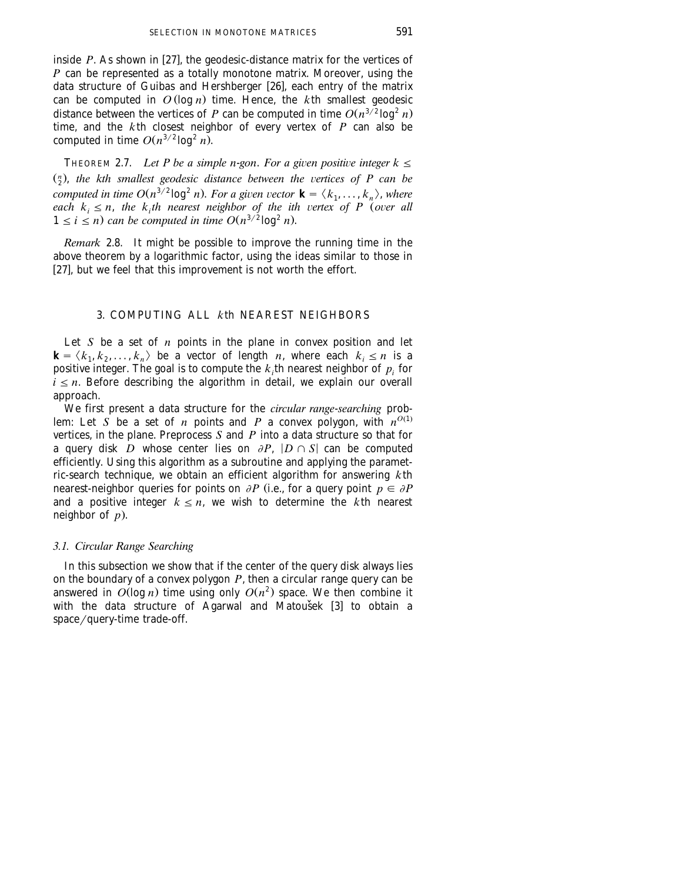inside  $P$ . As shown in [27], the geodesic-distance matrix for the vertices of *P* can be represented as a totally monotone matrix. Moreover, using the data structure of Guibas and Hershberger [26], each entry of the matrix can be computed in  $O(\log n)$  time. Hence, the *k*th smallest geodesic distance between the vertices of *P* can be computed in time  $O(n^{3/2} \log^2 n)$ time, and the *k*th closest neighbor of every vertex of *P* can also be computed in time  $O(n^{3/2} \log^2 n)$ .

THEOREM 2.7. *Let P be a simple n-gon. For a given positive integer*  $k \leq$  $\binom{n}{2}$ , the kth smallest geodesic distance between the vertices of P can be computed in time  $O(n^{3/2} \log^2 n)$ . For a given vector  $\mathbf{k} = \langle k_1, \ldots, k_n \rangle$ , where *each*  $k_i \leq n$ , *the*  $k_i$ *th nearest neighbor of the ith vertex of P (over all*  $1 \le i \le n$  can be computed in time  $O(n^{3/2} \log^2 n)$ .

*Remark* 2.8. It might be possible to improve the running time in the above theorem by a logarithmic factor, using the ideas similar to those in [27], but we feel that this improvement is not worth the effort.

# 3. COMPUTING ALL *k*th NEAREST NEIGHBORS

Let *S* be a set of *n* points in the plane in convex position and let  $\mathbf{k} = \langle k_1, k_2, \ldots, k_n \rangle$  be a vector of length *n*, where each  $k_i \leq n$  is a positive integer. The goal is to compute the  $k<sub>i</sub>$ th nearest neighbor of  $p<sub>i</sub>$  for  $i \leq n$ . Before describing the algorithm in detail, we explain our overall approach.

We first present a data structure for the *circular range*-*searching* problem: Let *S* be a set of *n* points and *P* a convex polygon, with  $n^{O(1)}$ . vertices, in the plane. Preprocess *S* and *P* into a data structure so that for a query disk *D* whose center lies on  $\partial P$ ,  $|D \cap S|$  can be computed efficiently. Using this algorithm as a subroutine and applying the parametric-search technique, we obtain an efficient algorithm for answering *k*th nearest-neighbor queries for points on  $\partial P$  (i.e., for a query point  $p \in \partial P$ and a positive integer  $k \leq n$ , we wish to determine the *k*th nearest neighbor of *p*..

# *3.1. Circular Range Searching*

In this subsection we show that if the center of the query disk always lies on the boundary of a convex polygon *P*, then a circular range query can be answered in  $O(\log n)$  time using only  $O(n^2)$  space. We then combine it with the data structure of Agarwal and Matoušek [3] to obtain a  $space/query-time trade-off.$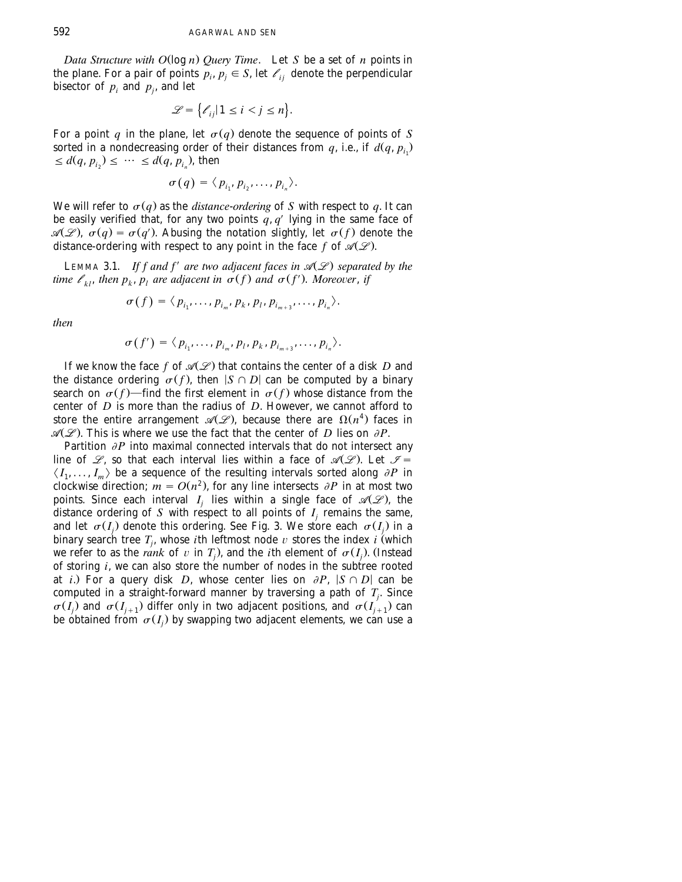*Data Structure with O*(log *n*) *Query Time*. Let *S* be a set of *n* points in the plane. For a pair of points  $p_i$ ,  $p_i \in S$ , let  $\ell_i$  denote the perpendicular bisector of  $p_i$  and  $p_j$ , and let

$$
\mathcal{L} = \left\{ \mathcal{C}_{ij} | 1 \le i < j \le n \right\}.
$$

For a point *q* in the plane, let  $\sigma(q)$  denote the sequence of points of *S* sorted in a nondecreasing order of their distances from  $q$ , i.e., if  $d(q, p_{i})$  $\leq d(q, p_{i_2}) \leq \cdots \leq d(q, p_{i_n})$ , then

$$
\sigma(q)=\langle p_{i_1},p_{i_2},\ldots,p_{i_n}\rangle.
$$

We will refer to  $\sigma(q)$  as the *distance-ordering* of *S* with respect to *q*. It can be easily verified that, for any two points  $q, q'$  lying in the same face of  $\mathcal{A}(\mathcal{L})$ ,  $\sigma(q) = \sigma(q')$ . Abusing the notation slightly, let  $\sigma(f)$  denote the distance-ordering with respect to any point in the face f of  $\mathcal{A}(\mathcal{L})$ .

LEMMA 3.1. *If f and f' are two adjacent faces in*  $\mathcal{A}(\mathcal{L})$  separated by the *time*  $\ell_{kl}$ , *then*  $p_k$ ,  $p_l$  are adjacent in  $\sigma(f)$  and  $\sigma(f')$ . Moreover, if

$$
\sigma(f) = \langle p_{i_1}, \ldots, p_{i_m}, p_k, p_l, p_{i_{m+3}}, \ldots, p_{i_n} \rangle.
$$

*then*

$$
\sigma(f')=\langle p_{i_1},\ldots,p_{i_m},p_l,p_k,p_{i_{m+3}},\ldots,p_{i_n}\rangle.
$$

If we know the face  $f$  of  $\mathcal{A}(\mathcal{L})$  that contains the center of a disk *D* and the distance ordering  $\sigma(f)$ , then  $|S \cap D|$  can be computed by a binary search on  $\sigma$  *f*) – find the first element in  $\sigma$  *f*) whose distance from the center of *D* is more than the radius of *D*. However, we cannot afford to store the entire arrangement  $\mathcal{A}(\mathcal{L})$ , because there are  $\Omega(n^4)$  faces in  $\mathcal{A}(\mathcal{L})$ . This is where we use the fact that the center of *D* lies on  $\partial P$ .

Partition  $\partial P$  into maximal connected intervals that do not intersect any line of  $\mathcal{L}$ , so that each interval lies within a face of  $\mathcal{A}(\mathcal{L})$ . Let  $\mathcal{I} =$  $\langle I_1, \ldots, I_m \rangle$  be a sequence of the resulting intervals sorted along  $\partial P$  in clockwise direction;  $m = O(n^2)$ , for any line intersects  $\partial P$  in at most two points. Since each interval  $I_i$  lies within a single face of  $\mathcal{A}(\mathcal{L})$ , the distance ordering of *S* with respect to all points of  $I_i$  remains the same, and let  $\sigma(I_i)$  denote this ordering. See Fig. 3. We store each  $\sigma(I_i)$  in a binary search tree  $T_j$ , whose *i*th leftmost node  $v$  stores the index *i* (which we refer to as the *rank* of v in  $T_i$ ), and the *i*th element of  $\sigma(I_i)$ . (Instead of storing *i*, we can also store the number of nodes in the subtree rooted at *i*.) For a query disk *D*, whose center lies on  $\partial P$ ,  $|S \cap D|$  can be computed in a straight-forward manner by traversing a path of  $T_i$ . Since  $\sigma(I_i)$  and  $\sigma(I_{i+1})$  differ only in two adjacent positions, and  $\sigma(I_{i+1})$  can be obtained from  $\sigma(I_i)$  by swapping two adjacent elements, we can use a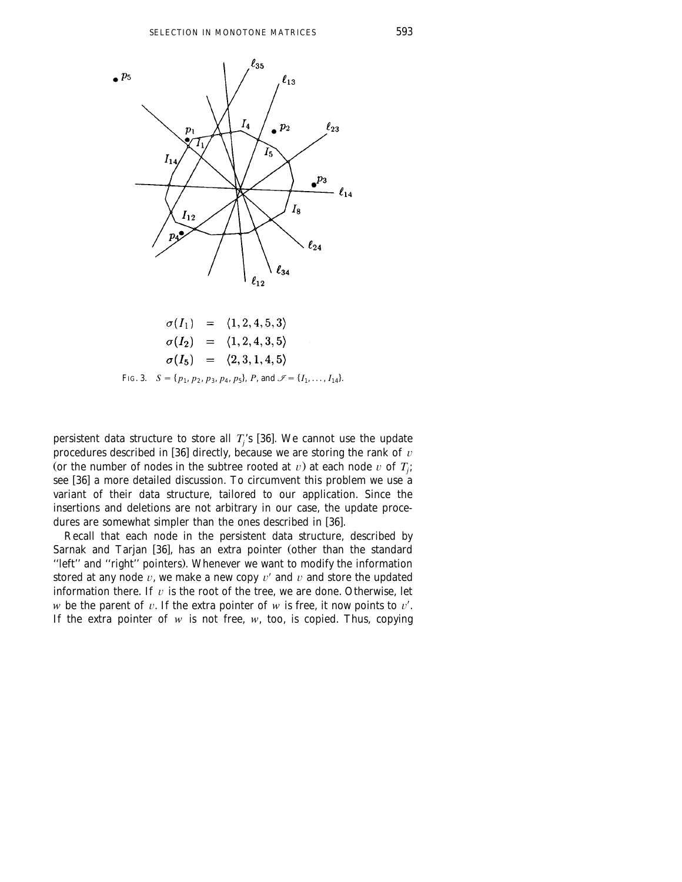

FIG. 3.  $S = \{p_1, p_2, p_3, p_4, p_5\}$ , *P*, and  $\mathcal{I} = \{I_1, \ldots, I_{14}\}$ .

persistent data structure to store all  $T_i$ 's [36]. We cannot use the update procedures described in [36] directly, because we are storing the rank of  $v$ (or the number of nodes in the subtree rooted at  $v$ ) at each node  $v$  of  $T_j$ ; see [36] a more detailed discussion. To circumvent this problem we use a variant of their data structure, tailored to our application. Since the insertions and deletions are not arbitrary in our case, the update procedures are somewhat simpler than the ones described in [36].

Recall that each node in the persistent data structure, described by Sarnak and Tarjan [36], has an extra pointer (other than the standard "left" and "right" pointers). Whenever we want to modify the information stored at any node  $v$ , we make a new copy  $v'$  and  $v$  and store the updated information there. If  $v$  is the root of the tree, we are done. Otherwise, let *w* be the parent of  $v$ . If the extra pointer of  $w$  is free, it now points to  $v'$ . If the extra pointer of  $w$  is not free,  $w$ , too, is copied. Thus, copying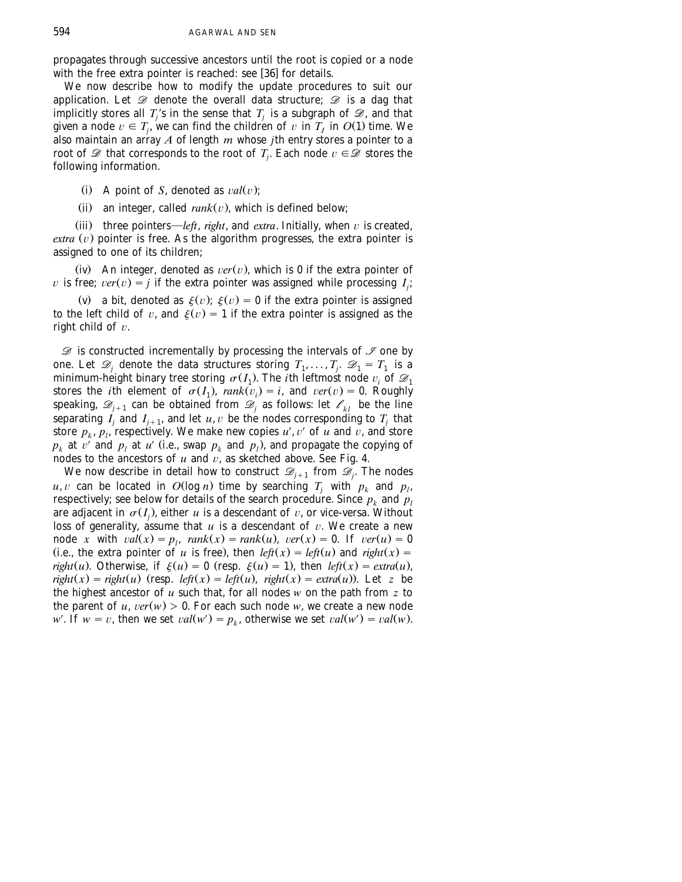propagates through successive ancestors until the root is copied or a node with the free extra pointer is reached: see [36] for details.

We now describe how to modify the update procedures to suit our application. Let *D* denote the overall data structure; *D* is a dag that implicitly stores all  $T_i$ 's in the sense that  $T_i$  is a subgraph of  $\mathcal{D}$ , and that given a node  $v \in T_i$ , we can find the children of v in  $T_i$  in  $O(1)$  time. We also maintain an array *A* of length *m* whose *j*th entry stores a pointer to a root of  $\mathscr{D}$  that corresponds to the root of  $T_i$ . Each node  $v \in \mathscr{D}$  stores the following information.

- (i) A point of *S*, denoted as  $val(v)$ :
- (ii) an integer, called  $rank(v)$ , which is defined below;

(iii) three pointers—*left*, *right*, and *extra*. Initially, when  $v$  is created,  $extra (v)$  pointer is free. As the algorithm progresses, the extra pointer is assigned to one of its children;

(iv) An integer, denoted as  $ver(v)$ , which is 0 if the extra pointer of *v* is free;  $ver(v) = j$  if the extra pointer was assigned while processing  $I_j$ ;

(v) a bit, denoted as  $\xi(v)$ ;  $\xi(v) = 0$  if the extra pointer is assigned to the left child of v, and  $\xi(v) = 1$  if the extra pointer is assigned as the right child of  $v$ .

*D* is constructed incrementally by processing the intervals of *I* one by one. Let  $\mathcal{D}_i$  denote the data structures storing  $T_1, \ldots, T_i$ .  $\mathcal{D}_1 = T_1$  is a minimum-height binary tree storing  $\sigma(I_1)$ . The *i*th leftmost node  $v_i$  of  $\mathcal{D}_1$ stores the *i*th element of  $\sigma(I_1)$ ,  $rank(v_i) = i$ , and  $ver(v) = 0$ . Roughly speaking,  $\mathscr{D}_{i+1}$  can be obtained from  $\mathscr{D}_i$  as follows: let  $\mathscr{C}_{kl}$  be the line separating  $I_i$  and  $I_{i+1}$ , and let  $u, v$  be the nodes corresponding to  $T_i$  that store  $p_k$ ,  $p_l$ , respectively. We make new copies  $u'$ ,  $v'$  of  $u$  and  $v$ , and store  $p_k$  at v' and  $p_l$  at u' (i.e., swap  $p_k$  and  $p_l$ ), and propagate the copying of nodes to the ancestors of  $u$  and  $v$ , as sketched above. See Fig. 4.

We now describe in detail how to construct  $\mathcal{D}_{j+1}$  from  $\mathcal{D}_j$ . The nodes  $u, v$  can be located in  $O(\log n)$  time by searching  $T_i$  with  $p_k$  and  $p_l$ , respectively; see below for details of the search procedure. Since  $p_k$  and  $p_l$ are adjacent in  $\sigma(I_i)$ , either *u* is a descendant of *v*, or vice-versa. Without loss of generality, assume that  $u$  is a descendant of  $v$ . We create a new node *x* with  $val(x) = p_i$ ,  $rank(x) = rank(u)$ ,  $ver(x) = 0$ . If  $ver(u) = 0$ (i.e., the extra pointer of *u* is free), then *left*(*x*) = *left*(*u*) and *right*(*x*) = *right*(*u*). Otherwise, if  $\xi(u) = 0$  (resp.  $\xi(u) = 1$ ), then *left*(*x*) = *extra*(*u*),  $right(x) = right(u)$  (resp.  $left(x) = left(u)$ ,  $right(x) = extra(u)$ ). Let *z* be the highest ancestor of *u* such that, for all nodes *w* on the path from *z* to the parent of *u*,  $ver(w) > 0$ . For each such node *w*, we create a new node *w'*. If  $w = v$ , then we set  $val(w') = p_k$ , otherwise we set  $val(w') = val(w)$ .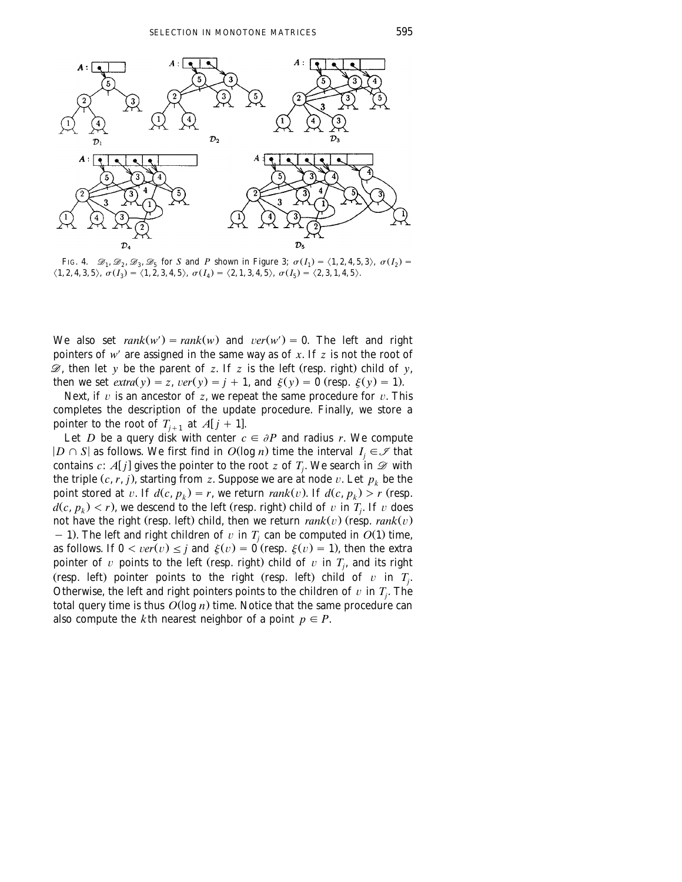

FIG. 4.  $\mathscr{D}_1, \mathscr{D}_2, \mathscr{D}_3, \mathscr{D}_5$  for *S* and *P* shown in Figure 3;  $\sigma(I_1) = \langle 1, 2, 4, 5, 3 \rangle$ ,  $\sigma(I_2) =$  $\langle 1, 2, 4, 3, 5 \rangle$ ,  $\sigma(I_3) = \langle 1, 2, 3, 4, 5 \rangle$ ,  $\sigma(I_4) = \langle 2, 1, 3, 4, 5 \rangle$ ,  $\sigma(I_5) = \langle 2, 3, 1, 4, 5 \rangle$ .

We also set  $rank(w') = rank(w)$  and  $ver(w') = 0$ . The left and right pointers of  $w'$  are assigned in the same way as of  $x$ . If  $z$  is not the root of  $\mathscr{D}$ , then let *y* be the parent of *z*. If *z* is the left (resp. right) child of *y*, then we set *extra(y)* = *z*, *ver(y)* = *j* + 1, and  $\xi(y) = 0$  (resp.  $\xi(y) = 1$ ).

Next, if  $v$  is an ancestor of  $z$ , we repeat the same procedure for  $v$ . This completes the description of the update procedure. Finally, we store a pointer to the root of  $T_{i+1}$  at  $A[j+1]$ .

Let *D* be a query disk with center  $c \in \partial P$  and radius *r*. We compute  $|D \cap S|$  as follows. We first find in  $O(\log n)$  time the interval  $I_i \in \mathcal{I}$  that contains *c*: *A*[*j*] gives the pointer to the root *z* of *T<sub>j</sub>*. We search in  $\mathscr{D}$  with the triple  $(c, r, j)$ , starting from *z*. Suppose we are at node v. Let  $p_k$  be the point stored at v. If  $d(c, p_k) = r$ , we return  $rank(v)$ . If  $d(c, p_k) > r$  (resp.  $d(c, p_k) < r$ , we descend to the left (resp. right) child of v in  $T_i$ . If v does not have the right (resp. left) child, then we return  $rank(v)$  (resp.  $rank(v)$ - 1). The left and right children of  $v$  in  $T_j$  can be computed in  $O(1)$  time, as follows. If  $0 < ver(v) \leq j$  and  $\xi(v) = 0$  (resp.  $\xi(v) = 1$ ), then the extra pointer of v points to the left (resp. right) child of v in  $T_i$ , and its right (resp. left) pointer points to the right (resp. left) child of  $v$  in  $T_j$ . Otherwise, the left and right pointers points to the children of  $v$  in  $T_i$ . The total query time is thus  $O(\log n)$  time. Notice that the same procedure can also compute the *k*th nearest neighbor of a point  $p \in P$ .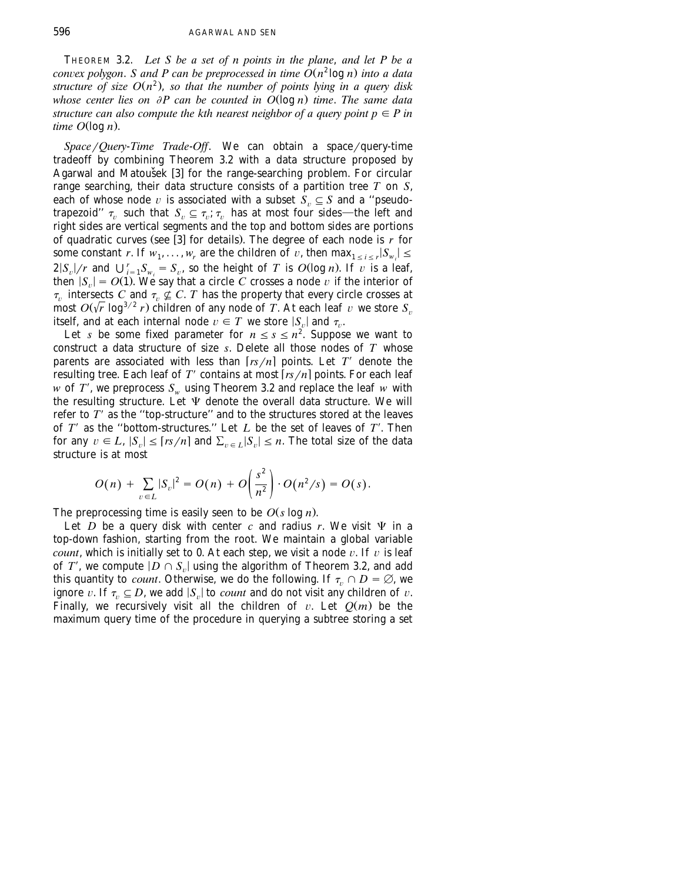THEOREM 3.2. *Let S be a set of n points in the plane*, *and let P be a convex polygon. S and P can be preprocessed in time*  $O(n^2 \log n)$  *into a data* structure of size  $O(n^2)$ , so that the number of points lying in a query disk *whose center lies on*  $\partial P$  *can be counted in*  $O(\log n)$  *time. The same data structure can also compute the kth nearest neighbor of a query point*  $p \in P$  *in*  $time$   $O(log n)$ .

*Space* / *Query-Time Trade-Off.* We can obtain a space / query-time tradeoff by combining Theorem 3.2 with a data structure proposed by Agarwal and Matoušek [3] for the range-searching problem. For circular range searching, their data structure consists of a partition tree *T* on *S*, each of whose node v is associated with a subset  $\hat{S}_v \subseteq S$  and a "pseudotrapezoid"  $\tau_{ij}$  such that  $S_{ij} \subseteq \tau_{ij}$ ;  $\tau_{ij}$  has at most four sides—the left and right sides are vertical segments and the top and bottom sides are portions of quadratic curves (see [3] for details). The degree of each node is  $r$  for some constant *r*. If  $w_1, \ldots, w_r$  are the children of v, then  $\max_{1 \leq i \leq r} |S_{w_i}| \leq$  $2|S_v|/r$  and  $\bigcup_{i=1}^r S_{w_i} = S_v$ , so the height of *T* is *O*(log *n*). If  $\overline{v}$  is a leaf, then  $|S_n| = O(1)$ . We say that a circle C crosses a node v if the interior of  $\tau_v$  intersects *C* and  $\tau_v \nsubseteq C$ . *T* has the property that every circle crosses at most  $O(\sqrt{r} \log^{3/2} r)$  children of any node of *T*. At each leaf v we store *S*<sup>n</sup> itself, and at each internal node  $v \in T$  we store  $|S_n|$  and  $\tau_n$ .

Let *s* be some fixed parameter for  $n \leq s \leq n^2$ . Suppose we want to construct a data structure of size *s*. Delete all those nodes of *T* whose parents are associated with less than  $\lfloor rs/n \rfloor$  points. Let *T'* denote the resulting tree. Each leaf of  $T'$  contains at most  $\lceil rs/n \rceil$  points. For each leaf  $w$  of  $T'$ , we preprocess  $S_w$  using Theorem 3.2 and replace the leaf  $w$  with the resulting structure. Let  $\Psi$  denote the overall data structure. We will refer to  $T'$  as the "top-structure" and to the structures stored at the leaves of  $T'$  as the "bottom-structures." Let  $L$  be the set of leaves of  $T'$ . Then for any  $v \in L$ ,  $|S_n| \leq [rs/n]$  and  $\sum_{v \in L} |S_n| \leq n$ . The total size of the data structure is at most

$$
O(n) + \sum_{v \in L} |S_v|^2 = O(n) + O\left(\frac{s^2}{n^2}\right) \cdot O(n^2/s) = O(s).
$$

The preprocessing time is easily seen to be  $O(s \log n)$ .

Let *D* be a query disk with center *c* and radius *r*. We visit  $\Psi$  in a top-down fashion, starting from the root. We maintain a global variable *count*, which is initially set to 0. At each step, we visit a node  $v$ . If  $v$  is leaf of T', we compute  $|D \cap S_n|$  using the algorithm of Theorem 3.2, and add this quantity to *count*. Otherwise, we do the following. If  $\tau_n \cap D = \emptyset$ , we ignore v. If  $\tau_v \subseteq D$ , we add  $|S_v|$  to *count* and do not visit any children of v. Finally, we recursively visit all the children of  $v$ . Let  $Q(m)$  be the maximum query time of the procedure in querying a subtree storing a set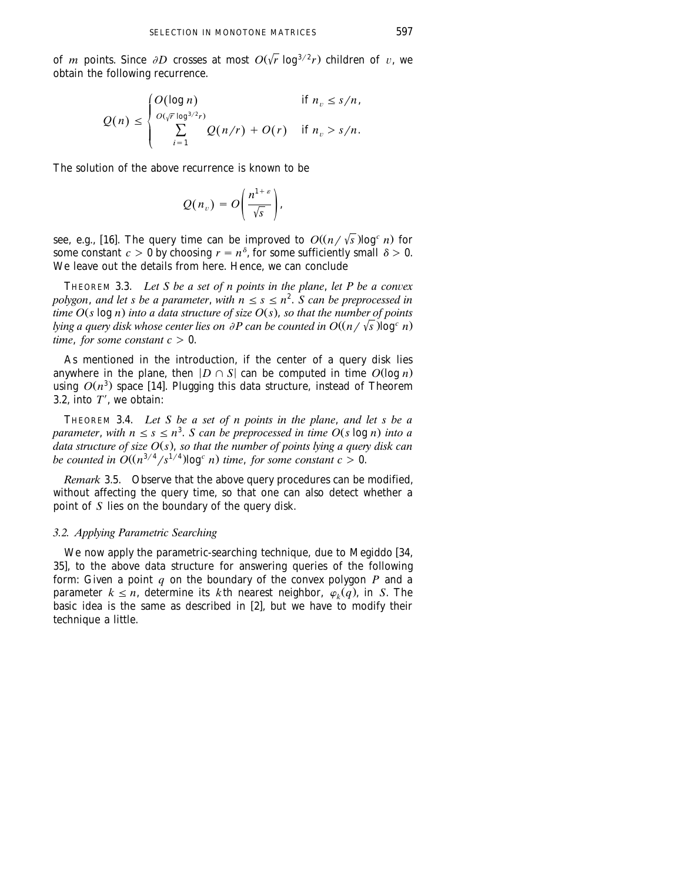of *m* points. Since  $\partial D$  crosses at most  $O(\sqrt{r} \log^{3/2} r)$  children of v, we obtain the following recurrence.

$$
Q(n) \leq \begin{cases} O(\log n) & \text{if } n_v \leq s/n, \\ \sum_{i=1}^{O(\sqrt{r} \log^{3/2} r)} Q(n/r) + O(r) & \text{if } n_v > s/n. \end{cases}
$$

The solution of the above recurrence is known to be

$$
Q(n_v) = O\left(\frac{n^{1+\varepsilon}}{\sqrt{s}}\right),\,
$$

see, e.g., [16]. The query time can be improved to  $O((n/\sqrt{s})\log^c n)$  for some constant  $c > 0$  by choosing  $r = n^{\delta}$ , for some sufficiently small  $\delta > 0$ . We leave out the details from here. Hence, we can conclude

THEOREM 3.3. Let S be a set of n points in the plane, let P be a convex *polygon, and let s be a parameter, with*  $n \leq s \leq n^2$ *. S can be preprocessed in time*  $O(s \log n)$  *into a data structure of size*  $O(s)$ *, so that the number of points lying a query disk whose center lies on*  $\partial P$  *can be counted in O* $\left(\frac{n}{\sqrt{s}}\right)$ log<sup>c</sup> *n*) *time, for some constant*  $c > 0$ *.* 

As mentioned in the introduction, if the center of a query disk lies anywhere in the plane, then  $|D \cap S|$  can be computed in time  $O(\log n)$ using  $O(n^3)$  space [14]. Plugging this data structure, instead of Theorem 3.2, into  $T'$ , we obtain:

THEOREM 3.4. *Let S be a set of n points in the plane*, *and let s be a parameter, with*  $n \leq s \leq n^3$ . *S can be preprocessed in time O(s log n) into a* <sup>*data structure of size O(s), so that the number of points lying a query disk can*</sup> be counted in  $O((n^{3/4}/s^{1/4})\log^c n)$  time, for some constant  $c > 0$ .

*Remark* 3.5. Observe that the above query procedures can be modified, without affecting the query time, so that one can also detect whether a point of *S* lies on the boundary of the query disk.

### *3.2. Applying Parametric Searching*

We now apply the parametric-searching technique, due to Megiddo [34, 35], to the above data structure for answering queries of the following form: Given a point *q* on the boundary of the convex polygon *P* and a parameter  $k \le n$ , determine its *k*th nearest neighbor,  $\varphi_k(q)$ , in *S*. The basic idea is the same as described in [2], but we have to modify their technique a little.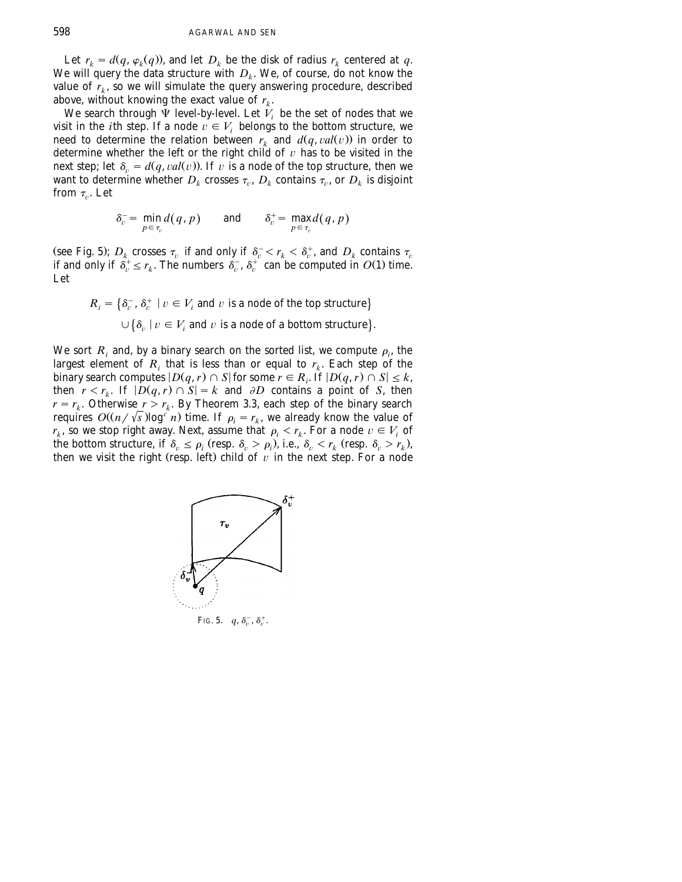Let  $r_k = d(q, \varphi_k(q))$ , and let  $D_k$  be the disk of radius  $r_k$  centered at q. We will query the data structure with  $D_k$ . We, of course, do not know the value of  $r_k$ , so we will simulate the query answering procedure, described above, without knowing the exact value of  $r_k$ .

We search through  $\Psi$  level-by-level. Let  $V_i$  be the set of nodes that we visit in the *i*th step. If a node  $v \in V$ , belongs to the bottom structure, we need to determine the relation between  $r_k$  and  $d(q, val(v))$  in order to determine whether the left or the right child of  $v$  has to be visited in the next step; let  $\delta_{\nu} = d(q, val(v))$ . If  $\nu$  is a node of the top structure, then we want to determine whether  $D_k$  crosses  $\tau_v$ ,  $D_k$  contains  $\tau_v$ , or  $D_k$  is disjoint from  $\tau_{\nu}$ . Let

$$
\delta_v^- = \min_{p \in \tau_v} d(q, p) \quad \text{and} \quad \delta_v^+ = \max_{p \in \tau_v} d(q, p)
$$

(see Fig. 5);  $D_k$  crosses  $\tau_v$  if and only if  $\delta_v^- < r_k < \delta_v^+$ , and  $D_k$  contains  $\tau_v$ if and only if  $\delta_v^+ \le r_k$ . The numbers  $\delta_v^-$ ,  $\delta_v^+$  can be computed in  $O(1)$  time. Let

$$
R_i = \{\delta_v^-, \delta_v^+ \mid v \in V_i \text{ and } v \text{ is a node of the top structure}\}
$$
  

$$
\cup \{\delta_v \mid v \in V_i \text{ and } v \text{ is a node of a bottom structure}\}.
$$

We sort  $R_i$  and, by a binary search on the sorted list, we compute  $\rho_i$ , the largest element of  $R_i$  that is less than or equal to  $r_k$ . Each step of the binary search computes  $|D(q, r) \cap S|$  for some  $r \in R_i$ . If  $|D(q, r) \cap S| \leq k$ , then  $r < r_k$ . If  $|D(q, r) \cap S| = k$  and  $\partial D$  contains a point of *S*, then  $r = r_k$ . Otherwise  $r > r_k$ . By Theorem 3.3, each step of the binary search requires  $O((n/\sqrt{s})\log^c n)$  time. If  $\rho_i = r_k$ , we already know the value of  $r_k$ , so we stop right away. Next, assume that  $\rho_i < r_k$ . For a node  $v \in V_i$  of the bottom structure, if  $\delta_v \le \rho_i$  (resp.  $\delta_v > \rho_i$ ), i.e.,  $\delta_v < r_k$  (resp.  $\delta_v > r_k$ ), then we visit the right (resp. left) child of  $\nu$  in the next step. For a node



FIG. 5.  $q, \delta_n^-, \delta_n^+$ .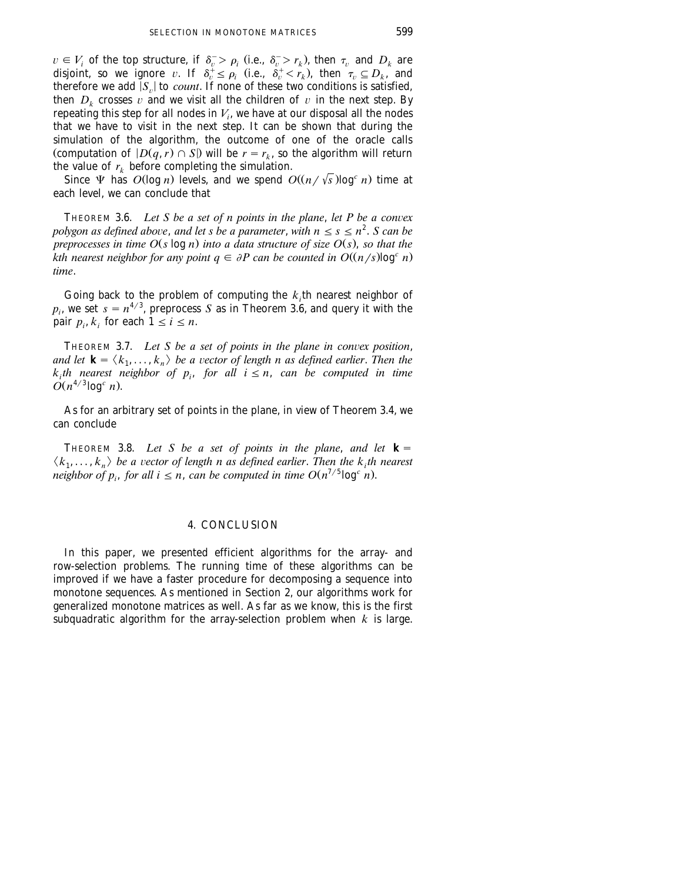$v \in V_i$  of the top structure, if  $\delta_v > \rho_i$  (i.e.,  $\delta_v > r_k$ ), then  $\tau_v$  and  $D_k$  are disjoint, so we ignore v. If  $\delta_v^+ \le \rho_i$  (i.e.,  $\delta_v^+ \le r_k$ ), then  $\tau_v \subseteq D_k$ , and therefore we add  $|S_n|$  to *count*. If none of these two conditions is satisfied, then  $D_k$  crosses  $v$  and we visit all the children of  $v$  in the next step. By repeating this step for all nodes in  $V_i$ , we have at our disposal all the nodes that we have to visit in the next step. It can be shown that during the simulation of the algorithm, the outcome of one of the oracle calls (computation of  $|D(q, r) \cap S|$ ) will be  $r = r_k$ , so the algorithm will return the value of  $r_k$  before completing the simulation.

Since  $\Psi$  has  $O(\log n)$  levels, and we spend  $O((n/\sqrt{s})\log^c n)$  time at each level, we can conclude that

THEOREM 3.6. *Let S be a set of n points in the plane, let P be a convex polygon as defined above, and let s be a parameter, with*  $n \leq s \leq n^2$ *. S can be preprocesses in time*  $O(s \log n)$  *into a data structure of size*  $O(s)$ *, so that the kth nearest neighbor for any point*  $q \in \partial P$  *can be counted in*  $O((n/s)\log^c n)$ *. time*.

Going back to the problem of computing the  $k<sub>i</sub>$ th nearest neighbor of  $p_i$ , we set  $s = n^{4/3}$ , preprocess *S* as in Theorem 3.6, and query it with the pair  $p_i, k_i$  for each  $1 \le i \le n$ .

THEOREM 3.7. Let S be a set of points in the plane in convex position, *and let*  $\mathbf{k} = \langle k_1, \ldots, k_n \rangle$  *be a vector of length n as defined earlier. Then the k*<sub>i</sub>th nearest neighbor of  $p_i$ , for all  $i \leq n$ , can be computed in time  $O(n^{4/3} \log^c n)$ .

As for an arbitrary set of points in the plane, in view of Theorem 3.4, we can conclude

THEOREM 3.8. Let S be a set of points in the plane, and let  $\mathbf{k} =$  $\langle k_1, \ldots, k_n \rangle$  be a vector of length n as defined earlier. Then the k<sub>i</sub>th nearest *neighbor of p<sub>i</sub>, for all*  $i \leq n$ *, can be computed in time*  $O(n^{7/5} \log^c n)$ *.* 

# 4. CONCLUSION

In this paper, we presented efficient algorithms for the array- and row-selection problems. The running time of these algorithms can be improved if we have a faster procedure for decomposing a sequence into monotone sequences. As mentioned in Section 2, our algorithms work for generalized monotone matrices as well. As far as we know, this is the first subquadratic algorithm for the array-selection problem when *k* is large.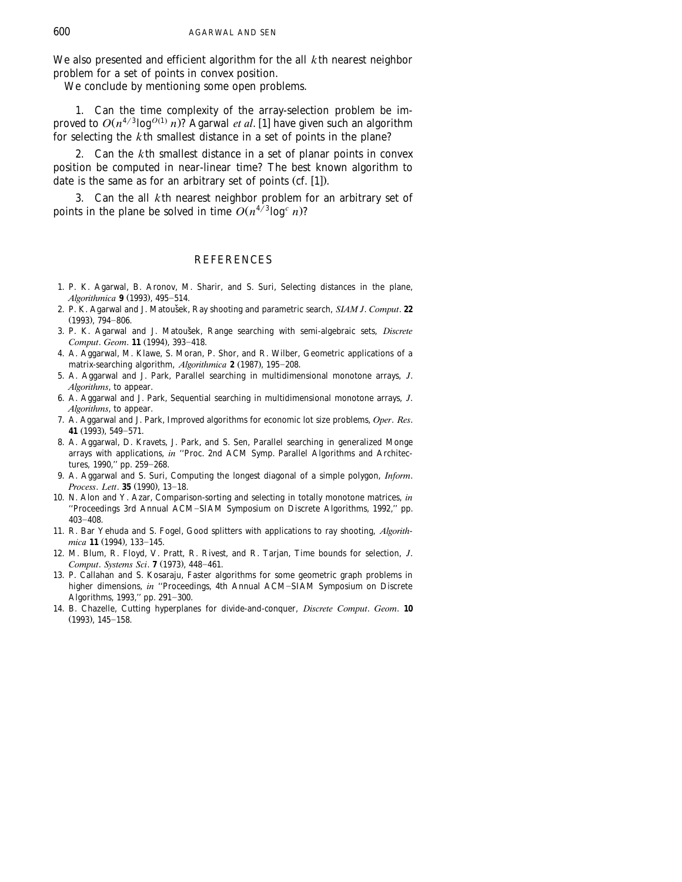We also presented and efficient algorithm for the all *k*th nearest neighbor problem for a set of points in convex position.

We conclude by mentioning some open problems.

1. Can the time complexity of the array-selection problem be improved to  $O(n^{4/3} \log^{O(1)} n)$ ? Agarwal *et al.* [1] have given such an algorithm for selecting the *k*th smallest distance in a set of points in the plane?

2. Can the *k*th smallest distance in a set of planar points in convex position be computed in near-linear time? The best known algorithm to date is the same as for an arbitrary set of points  $(cf. [1])$ .

3. Can the all *k*th nearest neighbor problem for an arbitrary set of points in the plane be solved in time  $O(n^{4/3} \log^c n)$ ?

## **REFERENCES**

- 1. P. K. Agarwal, B. Aronov, M. Sharir, and S. Suri, Selecting distances in the plane, *Algorithmica* **9** (1993), 495-514.
- 2. P. K. Agarwal and J. Matoušek, Ray shooting and parametric search, SIAM J. Comput. 22  $(1993)$ , 794-806.
- 3. P. K. Agarwal and J. Matoušek, Range searching with semi-algebraic sets, *Discrete Comput. Geom.* **11** (1994), 393-418.
- 4. A. Aggarwal, M. Klawe, S. Moran, P. Shor, and R. Wilber, Geometric applications of a matrix-searching algorithm, Algorithmica 2 (1987), 195-208.
- 5. A. Aggarwal and J. Park, Parallel searching in multidimensional monotone arrays, *J*. *Algorithms*, to appear.
- 6. A. Aggarwal and J. Park, Sequential searching in multidimensional monotone arrays, *J*. *Algorithms*, to appear.
- 7. A. Aggarwal and J. Park, Improved algorithms for economic lot size problems, *Oper*. *Res*. **41** (1993), 549-571.
- 8. A. Aggarwal, D. Kravets, J. Park, and S. Sen, Parallel searching in generalized Monge arrays with applications, *in* ''Proc. 2nd ACM Symp. Parallel Algorithms and Architectures, 1990," pp. 259-268.
- 9. A. Aggarwal and S. Suri, Computing the longest diagonal of a simple polygon, *Inform*. *Process. Lett.* **35** (1990), 13-18.
- 10. N. Alon and Y. Azar, Comparison-sorting and selecting in totally monotone matrices, *in* "Proceedings 3rd Annual ACM-SIAM Symposium on Discrete Algorithms, 1992," pp.  $403 - 408.$
- 11. R. Bar Yehuda and S. Fogel, Good splitters with applications to ray shooting, *Algorithmica* 11 (1994), 133-145.
- 12. M. Blum, R. Floyd, V. Pratt, R. Rivest, and R. Tarjan, Time bounds for selection, *J*. *Comput. Systems Sci.* **7** (1973), 448-461.
- 13. P. Callahan and S. Kosaraju, Faster algorithms for some geometric graph problems in higher dimensions, *in* "Proceedings, 4th Annual ACM-SIAM Symposium on Discrete Algorithms, 1993," pp. 291-300.
- 14. B. Chazelle, Cutting hyperplanes for divide-and-conquer, *Discrete Comput*. *Geom*. **10**  $(1993)$ ,  $145-158$ .